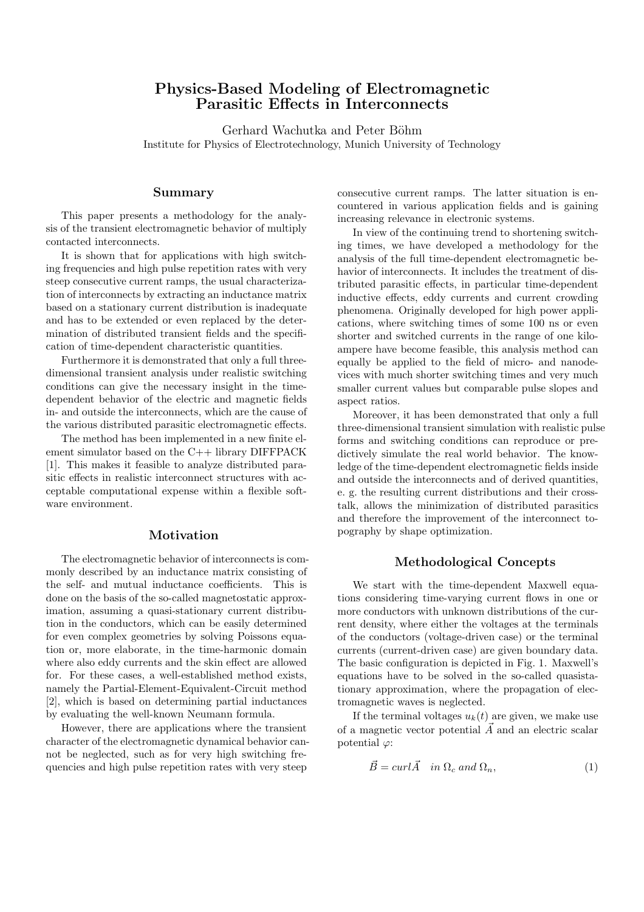# **Physics-Based Modeling of Electromagnetic Parasitic Effects in Interconnects**

Gerhard Wachutka and Peter Böhm Institute for Physics of Electrotechnology, Munich University of Technology

### **Summary**

This paper presents a methodology for the analysis of the transient electromagnetic behavior of multiply contacted interconnects.

It is shown that for applications with high switching frequencies and high pulse repetition rates with very steep consecutive current ramps, the usual characterization of interconnects by extracting an inductance matrix based on a stationary current distribution is inadequate and has to be extended or even replaced by the determination of distributed transient fields and the specification of time-dependent characteristic quantities.

Furthermore it is demonstrated that only a full threedimensional transient analysis under realistic switching conditions can give the necessary insight in the timedependent behavior of the electric and magnetic fields in- and outside the interconnects, which are the cause of the various distributed parasitic electromagnetic effects.

The method has been implemented in a new finite element simulator based on the C++ library DIFFPACK [1]. This makes it feasible to analyze distributed parasitic effects in realistic interconnect structures with acceptable computational expense within a flexible software environment.

# **Motivation**

The electromagnetic behavior of interconnects is commonly described by an inductance matrix consisting of the self- and mutual inductance coefficients. This is done on the basis of the so-called magnetostatic approximation, assuming a quasi-stationary current distribution in the conductors, which can be easily determined for even complex geometries by solving Poissons equation or, more elaborate, in the time-harmonic domain where also eddy currents and the skin effect are allowed for. For these cases, a well-established method exists, namely the Partial-Element-Equivalent-Circuit method [2], which is based on determining partial inductances by evaluating the well-known Neumann formula.

However, there are applications where the transient character of the electromagnetic dynamical behavior cannot be neglected, such as for very high switching frequencies and high pulse repetition rates with very steep

consecutive current ramps. The latter situation is encountered in various application fields and is gaining increasing relevance in electronic systems.

In view of the continuing trend to shortening switching times, we have developed a methodology for the analysis of the full time-dependent electromagnetic behavior of interconnects. It includes the treatment of distributed parasitic effects, in particular time-dependent inductive effects, eddy currents and current crowding phenomena. Originally developed for high power applications, where switching times of some 100 ns or even shorter and switched currents in the range of one kiloampere have become feasible, this analysis method can equally be applied to the field of micro- and nanodevices with much shorter switching times and very much smaller current values but comparable pulse slopes and aspect ratios.

Moreover, it has been demonstrated that only a full three-dimensional transient simulation with realistic pulse forms and switching conditions can reproduce or predictively simulate the real world behavior. The knowledge of the time-dependent electromagnetic fields inside and outside the interconnects and of derived quantities, e. g. the resulting current distributions and their crosstalk, allows the minimization of distributed parasitics and therefore the improvement of the interconnect topography by shape optimization.

#### **Methodological Concepts**

We start with the time-dependent Maxwell equations considering time-varying current flows in one or more conductors with unknown distributions of the current density, where either the voltages at the terminals of the conductors (voltage-driven case) or the terminal currents (current-driven case) are given boundary data. The basic configuration is depicted in Fig. 1. Maxwell's equations have to be solved in the so-called quasistationary approximation, where the propagation of electromagnetic waves is neglected.

If the terminal voltages  $u_k(t)$  are given, we make use of a magnetic vector potential  $\vec{A}$  and an electric scalar potential  $\varphi$ :

$$
\vec{B} = \operatorname{curl} \vec{A} \quad \text{in } \Omega_c \text{ and } \Omega_n,\tag{1}
$$